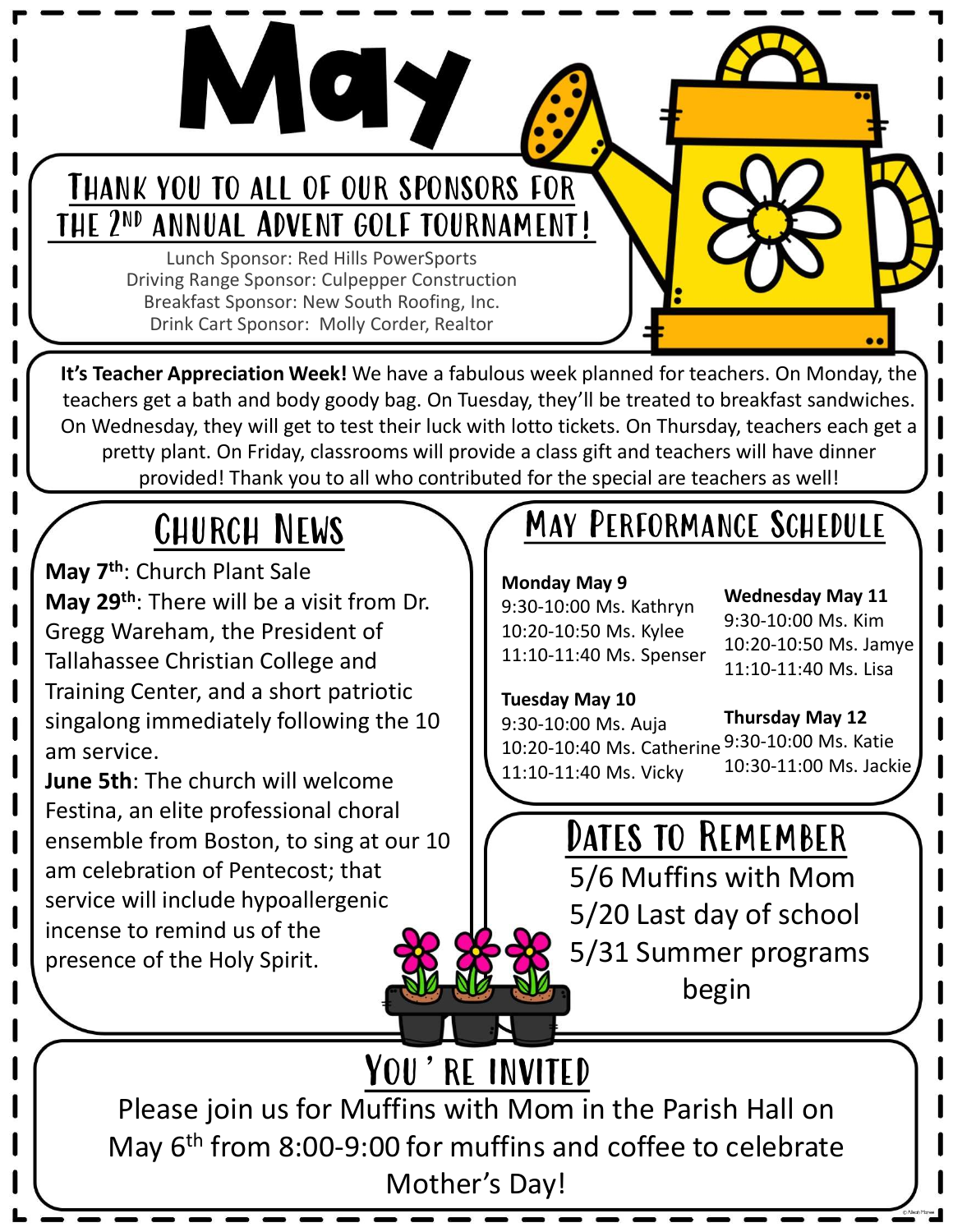

Lunch Sponsor: Red Hills PowerSports Driving Range Sponsor: Culpepper Construction Breakfast Sponsor: New South Roofing, Inc.

VOU TO ALL OF OUR SPONSORS FOR<br>
ANNUAL ADVENT GOLF TOURNAMENT!<br>
Lunch Sponsor: Red Hills PowerSports<br>
ving Range Sponsor: Culpepper Construction<br>
Drink Cart Sponsor: Molly Corder, Realtor<br>
Realtor Sponsor: Molly Corder, Re It's Teacher Appreciation Week! We have a fabulous week planned for teachers. On Monday, the teachers get a bath and body goody bag. On Tuesday, they'll be treated to breakfast sandwiches. On Wednesday, they will get to test their luck with lotto tickets. On Thursday, teachers each get a pretty plant. On Friday, classrooms will provide a class gift and teachers will have dinner provided! Thank you to all who contributed for the special are teachers as well!

May 7<sup>th</sup>: Church Plant Sale May 29<sup>th</sup>: There will be a visit from Dr. Gregg Wareham, the President of Tallahassee Christian College and Training Center, and a short patriotic singalong immediately following the  $10$  | 9:30-10:00 Ms. Auja am service.

June 5th: The church will welcome Festina, an elite professional choral ensemble from Boston, to sing at our 10 am celebration of Pentecost; that service will include hypoallergenic incense to remind us of the presence of the Holy Spirit.

# CHURCH NEWS MAY PERFORMANCE SCHEDULE

#### Monday May 9

9:30-10:00 Ms. Kathryn 10:20-10:50 Ms. Kylee 11:10-11:40 Ms. Spenser Wednesday May 11 9:30-10:00 Ms. Kim 10:20-10:50 Ms. Jamye 11:10-11:40 Ms. Lisa

10:30-11:00 Ms. Jackie

### Tuesday May 10

Thursday May 12 9:30-10:00 Ms. Katie | | 9:30-10:00 Ms. Auja 10:20-10:40 Ms. Catherine 9:30-10:00 Ms. Katie

11:10-11:40 Ms. Vicky

## Dates to Remember

5/6 Muffins with Mom 5/20 Last day of school 5/31 Summer programs begin

YOU'RE INVITED Please join us for Muffins with Mom in the Parish Hall on May 6<sup>th</sup> from 8:00-9:00 for muffins and coffee to celebrate Mother's Day!